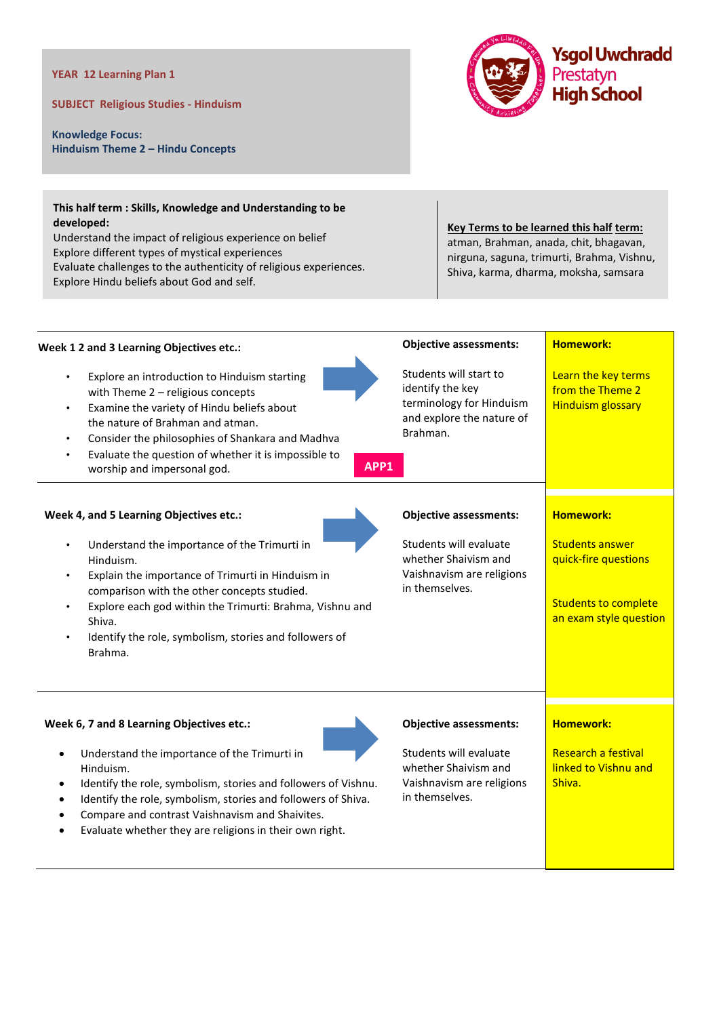## **YEAR 12 Learning Plan 1**

**SUBJECT Religious Studies - Hinduism**

**Knowledge Focus: Hinduism Theme 2 – Hindu Concepts**



## **This half term : Skills, Knowledge and Understanding to be developed:**

Understand the impact of religious experience on belief Explore different types of mystical experiences Evaluate challenges to the authenticity of religious experiences. Explore Hindu beliefs about God and self.

## **Key Terms to be learned this half term:** atman, Brahman, anada, chit, bhagavan, nirguna, saguna, trimurti, Brahma, Vishnu, Shiva, karma, dharma, moksha, samsara

| Week 1 2 and 3 Learning Objectives etc.:                                                                                                                                                                                                                                                                                             | <b>Objective assessments:</b>                                                                                   | <b>Homework:</b>                                                                                        |
|--------------------------------------------------------------------------------------------------------------------------------------------------------------------------------------------------------------------------------------------------------------------------------------------------------------------------------------|-----------------------------------------------------------------------------------------------------------------|---------------------------------------------------------------------------------------------------------|
| Explore an introduction to Hinduism starting<br>with Theme 2 - religious concepts<br>Examine the variety of Hindu beliefs about<br>$\bullet$<br>the nature of Brahman and atman.<br>Consider the philosophies of Shankara and Madhva<br>Evaluate the question of whether it is impossible to<br>APP1<br>worship and impersonal god.  | Students will start to<br>identify the key<br>terminology for Hinduism<br>and explore the nature of<br>Brahman. | Learn the key terms<br>from the Theme 2<br><b>Hinduism glossary</b>                                     |
| Week 4, and 5 Learning Objectives etc.:                                                                                                                                                                                                                                                                                              | <b>Objective assessments:</b>                                                                                   | <b>Homework:</b>                                                                                        |
| Understand the importance of the Trimurti in<br>Hinduism.<br>Explain the importance of Trimurti in Hinduism in<br>comparison with the other concepts studied.<br>Explore each god within the Trimurti: Brahma, Vishnu and<br>Shiva.<br>Identify the role, symbolism, stories and followers of<br>Brahma.                             | Students will evaluate<br>whether Shaivism and<br>Vaishnavism are religions<br>in themselves.                   | <b>Students answer</b><br>quick-fire questions<br><b>Students to complete</b><br>an exam style question |
| Week 6, 7 and 8 Learning Objectives etc.:                                                                                                                                                                                                                                                                                            | <b>Objective assessments:</b>                                                                                   | <b>Homework:</b>                                                                                        |
| Understand the importance of the Trimurti in<br>Hinduism.<br>Identify the role, symbolism, stories and followers of Vishnu.<br>$\bullet$<br>Identify the role, symbolism, stories and followers of Shiva.<br>Compare and contrast Vaishnavism and Shaivites.<br>Evaluate whether they are religions in their own right.<br>$\bullet$ | Students will evaluate<br>whether Shaivism and<br>Vaishnavism are religions<br>in themselves.                   | <b>Research a festival</b><br>linked to Vishnu and<br>Shiva.                                            |